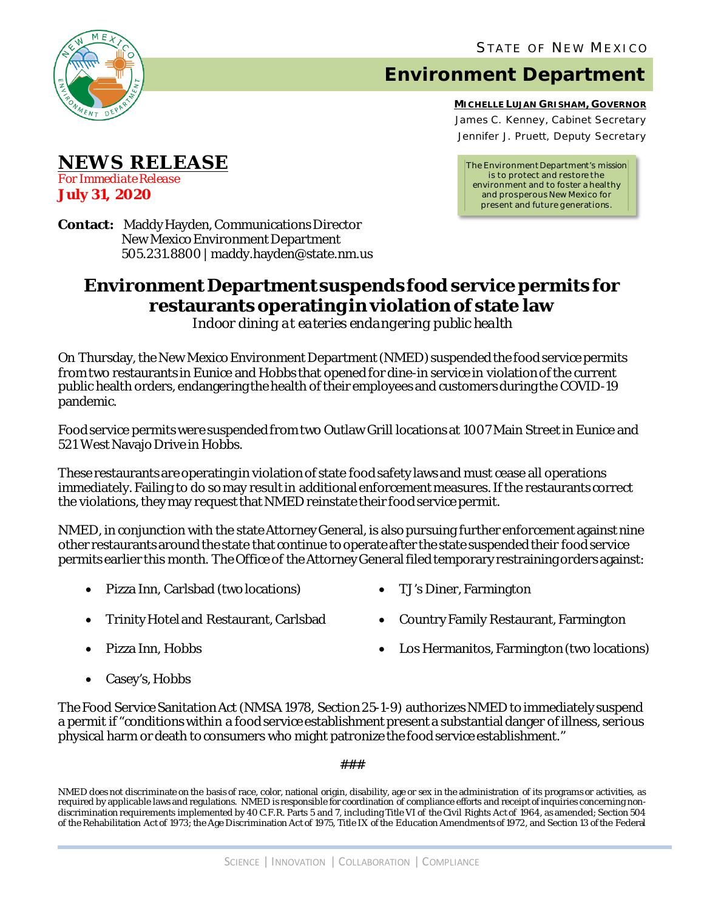

**NEWS RELEASE**

*For Immediate Release* **July 31, 2020**

## **Environment Department**

**MICHELLE LUJAN GRISHAM, GOVERNOR** James C. Kenney, Cabinet Secretary Jennifer J. Pruett, Deputy Secretary

*The Environment Department's mission is to protect and restore the environment and to foster a healthy and prosperous New Mexico for present and future generations.*

**Contact:** Maddy Hayden, Communications Director New Mexico Environment Department 505.231.8800 | maddy.hayden@state.nm.us

## **Environment Department suspends food service permits for restaurants operating in violation of state law**

*Indoor dining at eateries endangering public health*

On Thursday, the New Mexico Environment Department (NMED) suspendedthe food service permits from two restaurants in Eunice and Hobbs that openedfor dine-in service in violation of the current public health orders, endangering the health of their employees and customersduring the COVID-19 pandemic.

Food service permits were suspended from two Outlaw Grill locations at 1007 Main Street in Eunice and 521 West Navajo Drive in Hobbs.

These restaurants are operating in violation of state food safety laws and must cease all operations immediately. Failing to do so may result in additional enforcement measures.If the restaurants correct the violations, they may request that NMED reinstate their food service permit.

NMED, in conjunction with the state Attorney General, is also pursuing further enforcement against nine other restaurants around the state that continue to operate after the state suspended their food service permits earlier this month. The Office of the Attorney General filed temporary restraining orders against:

- Pizza Inn, Carlsbad (two locations) TJ's Diner, Farmington
- 
- Trinity Hotel and Restaurant, Carlsbad Country Family Restaurant, Farmington
	-

- 
- Pizza Inn, Hobbs Los Hermanitos, Farmington (two locations)
- Casey's, Hobbs

The Food Service Sanitation Act (NMSA 1978, Section 25-1-9) authorizes NMED to immediately suspend a permit if "conditions within a food service establishment present a substantial danger of illness, serious physical harm or death to consumers who might patronize the food service establishment."

###

NMED does not discriminate on the basis of race, color, national origin, disability, age or sex in the administration of its programs or activities, as required by applicable laws and regulations. NMED is responsible for coordination of compliance efforts and receipt of inquiries concerning nondiscrimination requirements implemented by 40 C.F.R. Parts 5 and 7, including Title VI of the Civil Rights Act of 1964, as amended; Section 504 of the Rehabilitation Act of 1973; the Age Discrimination Act of 1975, Title IX of the Education Amendments of 1972, and Section 13 of the Federal